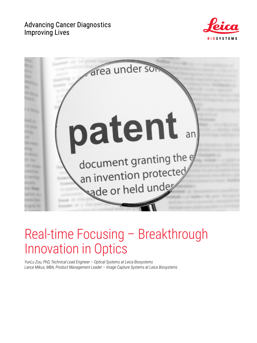## **Advancing Cancer Diagnostics Improving Lives**





# Real-time Focusing – Breakthrough Innovation in Optics

*YunLu Zou, PhD, Technical Lead Engineer – Optical Systems at Leica Biosystems Lance Mikus, MBA, Product Management Leader – Image Capture Systems at Leica Biosystems*